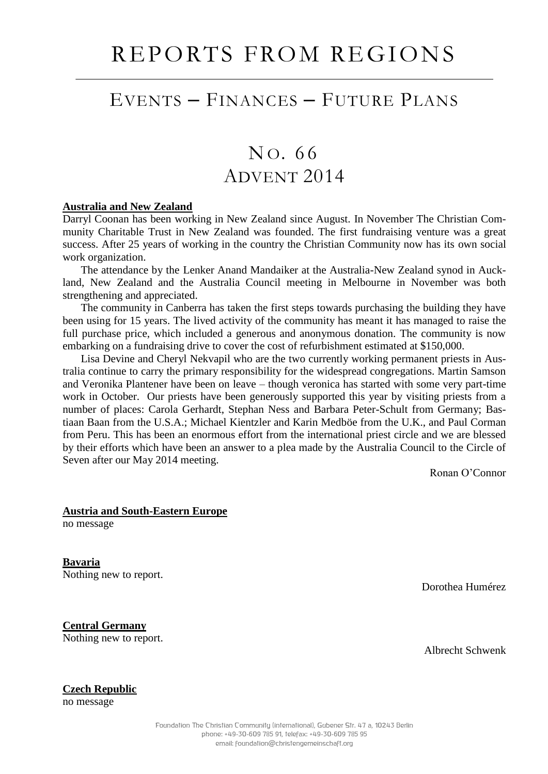## EVENTS – FINANCES – FUTURE PLANS

# NO. 66 ADVENT 2014

#### **Australia and New Zealand**

Darryl Coonan has been working in New Zealand since August. In November The Christian Community Charitable Trust in New Zealand was founded. The first fundraising venture was a great success. After 25 years of working in the country the Christian Community now has its own social work organization.

The attendance by the Lenker Anand Mandaiker at the Australia-New Zealand synod in Auckland, New Zealand and the Australia Council meeting in Melbourne in November was both strengthening and appreciated.

The community in Canberra has taken the first steps towards purchasing the building they have been using for 15 years. The lived activity of the community has meant it has managed to raise the full purchase price, which included a generous and anonymous donation. The community is now embarking on a fundraising drive to cover the cost of refurbishment estimated at \$150,000.

Lisa Devine and Cheryl Nekvapil who are the two currently working permanent priests in Australia continue to carry the primary responsibility for the widespread congregations. Martin Samson and Veronika Plantener have been on leave – though veronica has started with some very part-time work in October. Our priests have been generously supported this year by visiting priests from a number of places: Carola Gerhardt, Stephan Ness and Barbara Peter-Schult from Germany; Bastiaan Baan from the U.S.A.; Michael Kientzler and Karin Medböe from the U.K., and Paul Corman from Peru. This has been an enormous effort from the international priest circle and we are blessed by their efforts which have been an answer to a plea made by the Australia Council to the Circle of Seven after our May 2014 meeting.

Ronan O'Connor

#### **Austria and South-Eastern Europe**

no message

**Bavaria** Nothing new to report.

Dorothea Humérez

**Central Germany** Nothing new to report.

Albrecht Schwenk

### **Czech Republic**

no message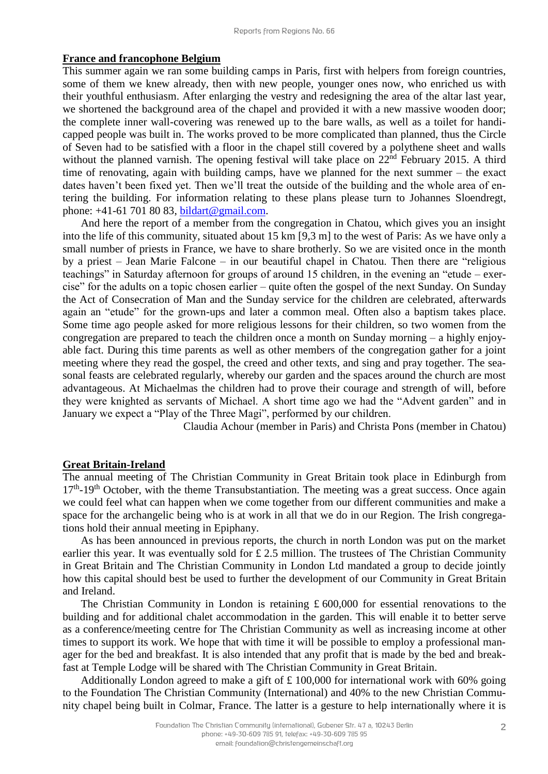#### **France and francophone Belgium**

This summer again we ran some building camps in Paris, first with helpers from foreign countries, some of them we knew already, then with new people, younger ones now, who enriched us with their youthful enthusiasm. After enlarging the vestry and redesigning the area of the altar last year, we shortened the background area of the chapel and provided it with a new massive wooden door; the complete inner wall-covering was renewed up to the bare walls, as well as a toilet for handicapped people was built in. The works proved to be more complicated than planned, thus the Circle of Seven had to be satisfied with a floor in the chapel still covered by a polythene sheet and walls without the planned varnish. The opening festival will take place on 22<sup>nd</sup> February 2015. A third time of renovating, again with building camps, have we planned for the next summer – the exact dates haven't been fixed yet. Then we'll treat the outside of the building and the whole area of entering the building. For information relating to these plans please turn to Johannes Sloendregt, phone: +41-61 701 80 83, [bildart@gmail.com.](mailto:bildart@gmail.com)

And here the report of a member from the congregation in Chatou, which gives you an insight into the life of this community, situated about 15 km [9,3 m] to the west of Paris: As we have only a small number of priests in France, we have to share brotherly. So we are visited once in the month by a priest – Jean Marie Falcone – in our beautiful chapel in Chatou. Then there are "religious teachings" in Saturday afternoon for groups of around 15 children, in the evening an "etude – exercise" for the adults on a topic chosen earlier – quite often the gospel of the next Sunday. On Sunday the Act of Consecration of Man and the Sunday service for the children are celebrated, afterwards again an "etude" for the grown-ups and later a common meal. Often also a baptism takes place. Some time ago people asked for more religious lessons for their children, so two women from the congregation are prepared to teach the children once a month on Sunday morning – a highly enjoyable fact. During this time parents as well as other members of the congregation gather for a joint meeting where they read the gospel, the creed and other texts, and sing and pray together. The seasonal feasts are celebrated regularly, whereby our garden and the spaces around the church are most advantageous. At Michaelmas the children had to prove their courage and strength of will, before they were knighted as servants of Michael. A short time ago we had the "Advent garden" and in January we expect a "Play of the Three Magi", performed by our children.

Claudia Achour (member in Paris) and Christa Pons (member in Chatou)

#### **Great Britain-Ireland**

The annual meeting of The Christian Community in Great Britain took place in Edinburgh from 17<sup>th</sup>-19<sup>th</sup> October, with the theme Transubstantiation. The meeting was a great success. Once again we could feel what can happen when we come together from our different communities and make a space for the archangelic being who is at work in all that we do in our Region. The Irish congregations hold their annual meeting in Epiphany.

As has been announced in previous reports, the church in north London was put on the market earlier this year. It was eventually sold for £2.5 million. The trustees of The Christian Community in Great Britain and The Christian Community in London Ltd mandated a group to decide jointly how this capital should best be used to further the development of our Community in Great Britain and Ireland.

The Christian Community in London is retaining  $\pounds 600,000$  for essential renovations to the building and for additional chalet accommodation in the garden. This will enable it to better serve as a conference/meeting centre for The Christian Community as well as increasing income at other times to support its work. We hope that with time it will be possible to employ a professional manager for the bed and breakfast. It is also intended that any profit that is made by the bed and breakfast at Temple Lodge will be shared with The Christian Community in Great Britain.

Additionally London agreed to make a gift of £ 100,000 for international work with 60% going to the Foundation The Christian Community (International) and 40% to the new Christian Community chapel being built in Colmar, France. The latter is a gesture to help internationally where it is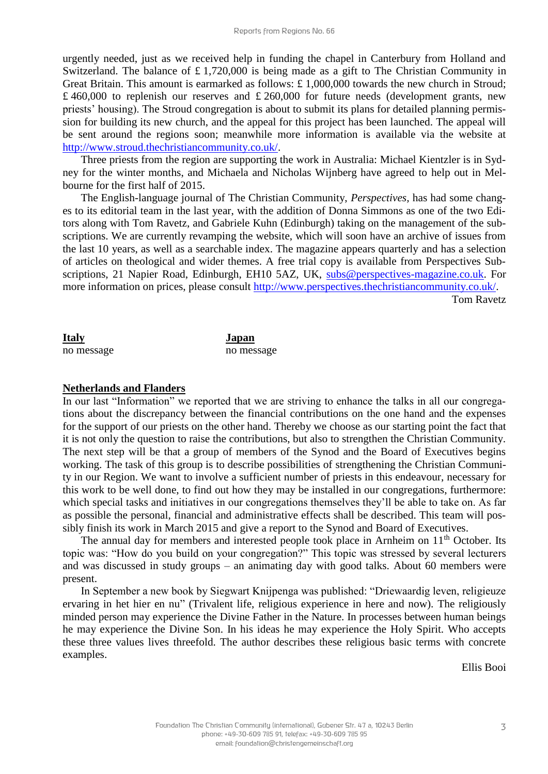urgently needed, just as we received help in funding the chapel in Canterbury from Holland and Switzerland. The balance of £1,720,000 is being made as a gift to The Christian Community in Great Britain. This amount is earmarked as follows: £ 1,000,000 towards the new church in Stroud; £ 460,000 to replenish our reserves and £ 260,000 for future needs (development grants, new priests' housing). The Stroud congregation is about to submit its plans for detailed planning permission for building its new church, and the appeal for this project has been launched. The appeal will be sent around the regions soon; meanwhile more information is available via the website at [http://www.stroud.thechristiancommunity.co.uk/.](http://www.stroud.thechristiancommunity.co.uk/)

Three priests from the region are supporting the work in Australia: Michael Kientzler is in Sydney for the winter months, and Michaela and Nicholas Wijnberg have agreed to help out in Melbourne for the first half of 2015.

The English-language journal of The Christian Community, *Perspectives,* has had some changes to its editorial team in the last year, with the addition of Donna Simmons as one of the two Editors along with Tom Ravetz, and Gabriele Kuhn (Edinburgh) taking on the management of the subscriptions. We are currently revamping the website, which will soon have an archive of issues from the last 10 years, as well as a searchable index. The magazine appears quarterly and has a selection of articles on theological and wider themes. A free trial copy is available from Perspectives Subscriptions, 21 Napier Road, Edinburgh, EH10 5AZ, UK, [subs@perspectives-magazine.co.uk.](mailto:subs@perspectives-magazine.co.uk) For more information on prices, please consult [http://www.perspectives.thechristiancommunity.co.uk/.](http://www.perspectives.thechristiancommunity.co.uk/)

Tom Ravetz

| Italy      | Japan      |
|------------|------------|
| no message | no message |

#### **Netherlands and Flanders**

In our last "Information" we reported that we are striving to enhance the talks in all our congregations about the discrepancy between the financial contributions on the one hand and the expenses for the support of our priests on the other hand. Thereby we choose as our starting point the fact that it is not only the question to raise the contributions, but also to strengthen the Christian Community. The next step will be that a group of members of the Synod and the Board of Executives begins working. The task of this group is to describe possibilities of strengthening the Christian Community in our Region. We want to involve a sufficient number of priests in this endeavour, necessary for this work to be well done, to find out how they may be installed in our congregations, furthermore: which special tasks and initiatives in our congregations themselves they'll be able to take on. As far as possible the personal, financial and administrative effects shall be described. This team will possibly finish its work in March 2015 and give a report to the Synod and Board of Executives.

The annual day for members and interested people took place in Arnheim on 11<sup>th</sup> October. Its topic was: "How do you build on your congregation?" This topic was stressed by several lecturers and was discussed in study groups – an animating day with good talks. About 60 members were present.

In September a new book by Siegwart Knijpenga was published: "Driewaardig leven, religieuze ervaring in het hier en nu" (Trivalent life, religious experience in here and now). The religiously minded person may experience the Divine Father in the Nature. In processes between human beings he may experience the Divine Son. In his ideas he may experience the Holy Spirit. Who accepts these three values lives threefold. The author describes these religious basic terms with concrete examples.

Ellis Booi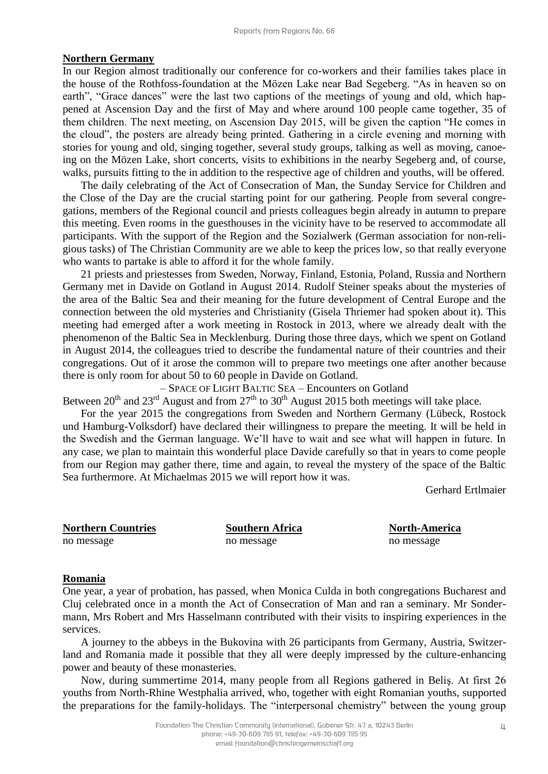#### **Northern Germany**

In our Region almost traditionally our conference for co-workers and their families takes place in the house of the Rothfoss-foundation at the Mözen Lake near Bad Segeberg. "As in heaven so on earth", "Grace dances" were the last two captions of the meetings of young and old, which happened at Ascension Day and the first of May and where around 100 people came together, 35 of them children. The next meeting, on Ascension Day 2015, will be given the caption "He comes in the cloud", the posters are already being printed. Gathering in a circle evening and morning with stories for young and old, singing together, several study groups, talking as well as moving, canoeing on the Mözen Lake, short concerts, visits to exhibitions in the nearby Segeberg and, of course, walks, pursuits fitting to the in addition to the respective age of children and youths, will be offered.

The daily celebrating of the Act of Consecration of Man, the Sunday Service for Children and the Close of the Day are the crucial starting point for our gathering. People from several congregations, members of the Regional council and priests colleagues begin already in autumn to prepare this meeting. Even rooms in the guesthouses in the vicinity have to be reserved to accommodate all participants. With the support of the Region and the Sozialwerk (German association for non-religious tasks) of The Christian Community are we able to keep the prices low, so that really everyone who wants to partake is able to afford it for the whole family.

21 priests and priestesses from Sweden, Norway, Finland, Estonia, Poland, Russia and Northern Germany met in Davide on Gotland in August 2014. Rudolf Steiner speaks about the mysteries of the area of the Baltic Sea and their meaning for the future development of Central Europe and the connection between the old mysteries and Christianity (Gisela Thriemer had spoken about it). This meeting had emerged after a work meeting in Rostock in 2013, where we already dealt with the phenomenon of the Baltic Sea in Mecklenburg. During those three days, which we spent on Gotland in August 2014, the colleagues tried to describe the fundamental nature of their countries and their congregations. Out of it arose the common will to prepare two meetings one after another because there is only room for about 50 to 60 people in Davide on Gotland.

– SPACE OF LIGHT BALTIC SEA – Encounters on Gotland

Between  $20^{th}$  and  $23^{rd}$  August and from  $27^{th}$  to  $30^{th}$  August 2015 both meetings will take place.

For the year 2015 the congregations from Sweden and Northern Germany (Lübeck, Rostock und Hamburg-Volksdorf) have declared their willingness to prepare the meeting. It will be held in the Swedish and the German language. We'll have to wait and see what will happen in future. In any case, we plan to maintain this wonderful place Davide carefully so that in years to come people from our Region may gather there, time and again, to reveal the mystery of the space of the Baltic Sea furthermore. At Michaelmas 2015 we will report how it was.

Gerhard Ertlmaier

| <b>Northern Countries</b> |
|---------------------------|
|                           |

no message no message no message no message no message no message no message no message

**North-America North-America** 

## **Romania**

One year, a year of probation, has passed, when Monica Culda in both congregations Bucharest and Cluj celebrated once in a month the Act of Consecration of Man and ran a seminary. Mr Sondermann, Mrs Robert and Mrs Hasselmann contributed with their visits to inspiring experiences in the services.

A journey to the abbeys in the Bukovina with 26 participants from Germany, Austria, Switzerland and Romania made it possible that they all were deeply impressed by the culture-enhancing power and beauty of these monasteries.

Now, during summertime 2014, many people from all Regions gathered in Beliş. At first 26 youths from North-Rhine Westphalia arrived, who, together with eight Romanian youths, supported the preparations for the family-holidays. The "interpersonal chemistry" between the young group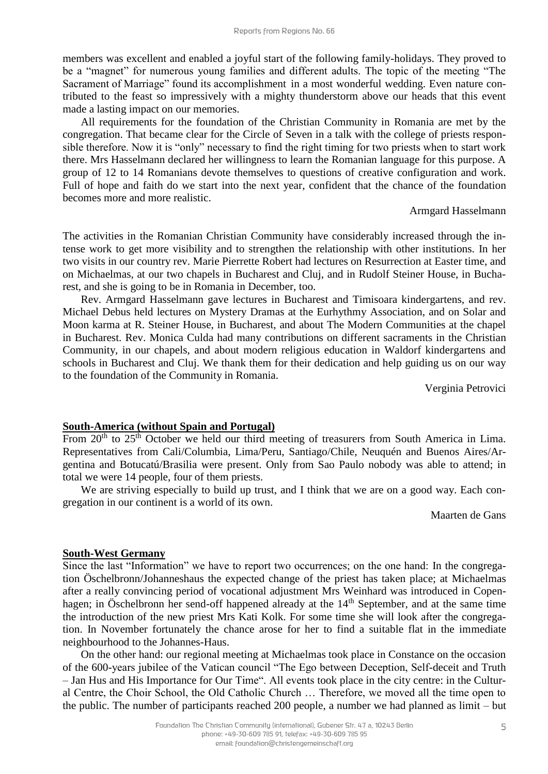members was excellent and enabled a joyful start of the following family-holidays. They proved to be a "magnet" for numerous young families and different adults. The topic of the meeting "The Sacrament of Marriage" found its accomplishment in a most wonderful wedding. Even nature contributed to the feast so impressively with a mighty thunderstorm above our heads that this event made a lasting impact on our memories.

All requirements for the foundation of the Christian Community in Romania are met by the congregation. That became clear for the Circle of Seven in a talk with the college of priests responsible therefore. Now it is "only" necessary to find the right timing for two priests when to start work there. Mrs Hasselmann declared her willingness to learn the Romanian language for this purpose. A group of 12 to 14 Romanians devote themselves to questions of creative configuration and work. Full of hope and faith do we start into the next year, confident that the chance of the foundation becomes more and more realistic.

#### Armgard Hasselmann

The activities in the Romanian Christian Community have considerably increased through the intense work to get more visibility and to strengthen the relationship with other institutions. In her two visits in our country rev. Marie Pierrette Robert had lectures on Resurrection at Easter time, and on Michaelmas, at our two chapels in Bucharest and Cluj, and in Rudolf Steiner House, in Bucharest, and she is going to be in Romania in December, too.

Rev. Armgard Hasselmann gave lectures in Bucharest and Timisoara kindergartens, and rev. Michael Debus held lectures on Mystery Dramas at the Eurhythmy Association, and on Solar and Moon karma at R. Steiner House, in Bucharest, and about The Modern Communities at the chapel in Bucharest. Rev. Monica Culda had many contributions on different sacraments in the Christian Community, in our chapels, and about modern religious education in Waldorf kindergartens and schools in Bucharest and Cluj. We thank them for their dedication and help guiding us on our way to the foundation of the Community in Romania.

Verginia Petrovici

### **South-America (without Spain and Portugal)**

From  $20<sup>th</sup>$  to  $25<sup>th</sup>$  October we held our third meeting of treasurers from South America in Lima. Representatives from Cali/Columbia, Lima/Peru, Santiago/Chile, Neuquén and Buenos Aires/Argentina and Botucatú/Brasilia were present. Only from Sao Paulo nobody was able to attend; in total we were 14 people, four of them priests.

We are striving especially to build up trust, and I think that we are on a good way. Each congregation in our continent is a world of its own.

Maarten de Gans

### **South-West Germany**

Since the last "Information" we have to report two occurrences; on the one hand: In the congregation Öschelbronn/Johanneshaus the expected change of the priest has taken place; at Michaelmas after a really convincing period of vocational adjustment Mrs Weinhard was introduced in Copenhagen; in Öschelbronn her send-off happened already at the 14<sup>th</sup> September, and at the same time the introduction of the new priest Mrs Kati Kolk. For some time she will look after the congregation. In November fortunately the chance arose for her to find a suitable flat in the immediate neighbourhood to the Johannes-Haus.

On the other hand: our regional meeting at Michaelmas took place in Constance on the occasion of the 600-years jubilee of the Vatican council "The Ego between Deception, Self-deceit and Truth – Jan Hus and His Importance for Our Time". All events took place in the city centre: in the Cultural Centre, the Choir School, the Old Catholic Church … Therefore, we moved all the time open to the public. The number of participants reached 200 people, a number we had planned as limit – but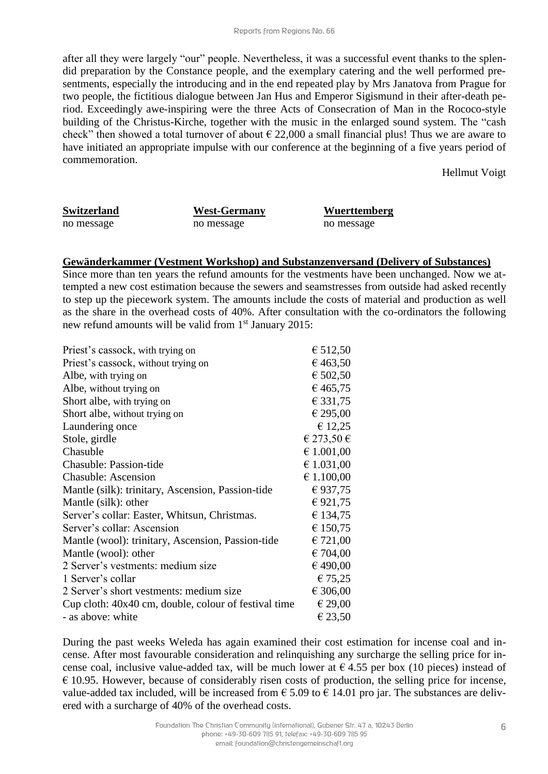after all they were largely "our" people. Nevertheless, it was a successful event thanks to the splendid preparation by the Constance people, and the exemplary catering and the well performed presentments, especially the introducing and in the end repeated play by Mrs Janatova from Prague for two people, the fictitious dialogue between Jan Hus and Emperor Sigismund in their after-death period. Exceedingly awe-inspiring were the three Acts of Consecration of Man in the Rococo-style building of the Christus-Kirche, together with the music in the enlarged sound system. The "cash check" then showed a total turnover of about  $\epsilon$  22,000 a small financial plus! Thus we are aware to have initiated an appropriate impulse with our conference at the beginning of a five years period of commemoration.

Hellmut Voigt

no message no message no message no message no message no message no message no message

**Switzerland West-Germany Wuerttemberg**

#### **Gewänderkammer (Vestment Workshop) and Substanzenversand (Delivery of Substances)**

Since more than ten years the refund amounts for the vestments have been unchanged. Now we attempted a new cost estimation because the sewers and seamstresses from outside had asked recently to step up the piecework system. The amounts include the costs of material and production as well as the share in the overhead costs of 40%. After consultation with the co-ordinators the following new refund amounts will be valid from 1<sup>st</sup> January 2015:

| Priest's cassock, with trying on                     | € 512,50   |
|------------------------------------------------------|------------|
| Priest's cassock, without trying on                  | € 463,50   |
| Albe, with trying on                                 | € 502,50   |
| Albe, without trying on                              | € 465,75   |
| Short albe, with trying on                           | € 331,75   |
| Short albe, without trying on                        | € 295,00   |
| Laundering once                                      | € 12,25    |
| Stole, girdle                                        | € 273,50 € |
| Chasuble                                             | € 1.001,00 |
| <b>Chasuble: Passion-tide</b>                        | € 1.031,00 |
| <b>Chasuble: Ascension</b>                           | € 1.100,00 |
| Mantle (silk): trinitary, Ascension, Passion-tide    | €937,75    |
| Mantle (silk): other                                 | €921,75    |
| Server's collar: Easter, Whitsun, Christmas.         | € 134,75   |
| Server's collar: Ascension                           | € 150,75   |
| Mantle (wool): trinitary, Ascension, Passion-tide    | € 721,00   |
| Mantle (wool): other                                 | € 704,00   |
| 2 Server's vestments: medium size                    | € 490,00   |
| 1 Server's collar                                    | € 75,25    |
| 2 Server's short vestments: medium size              | € 306,00   |
| Cup cloth: 40x40 cm, double, colour of festival time | € 29,00    |
| - as above: white                                    | € 23,50    |

During the past weeks Weleda has again examined their cost estimation for incense coal and incense. After most favourable consideration and relinquishing any surcharge the selling price for incense coal, inclusive value-added tax, will be much lower at  $\epsilon$  4.55 per box (10 pieces) instead of  $\epsilon$  10.95. However, because of considerably risen costs of production, the selling price for incense, value-added tax included, will be increased from  $\epsilon$  5.09 to  $\epsilon$  14.01 pro jar. The substances are delivered with a surcharge of 40% of the overhead costs.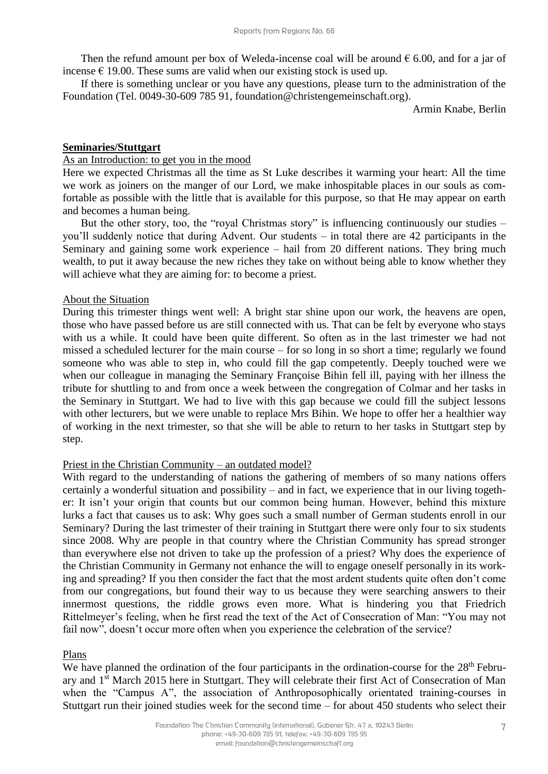Then the refund amount per box of Weleda-incense coal will be around  $\epsilon$  6.00, and for a jar of incense  $\epsilon$  19.00. These sums are valid when our existing stock is used up.

If there is something unclear or you have any questions, please turn to the administration of the Foundation (Tel. 0049-30-609 785 91, [foundation@christengemeinschaft.org\)](mailto:foundation@christengemeinschaft.org).

Armin Knabe, Berlin

#### **Seminaries/Stuttgart**

#### As an Introduction: to get you in the mood

Here we expected Christmas all the time as St Luke describes it warming your heart: All the time we work as joiners on the manger of our Lord, we make inhospitable places in our souls as comfortable as possible with the little that is available for this purpose, so that He may appear on earth and becomes a human being.

But the other story, too, the "royal Christmas story" is influencing continuously our studies – you'll suddenly notice that during Advent. Our students – in total there are 42 participants in the Seminary and gaining some work experience – hail from 20 different nations. They bring much wealth, to put it away because the new riches they take on without being able to know whether they will achieve what they are aiming for: to become a priest.

#### About the Situation

During this trimester things went well: A bright star shine upon our work, the heavens are open, those who have passed before us are still connected with us. That can be felt by everyone who stays with us a while. It could have been quite different. So often as in the last trimester we had not missed a scheduled lecturer for the main course – for so long in so short a time; regularly we found someone who was able to step in, who could fill the gap competently. Deeply touched were we when our colleague in managing the Seminary Françoise Bihin fell ill, paying with her illness the tribute for shuttling to and from once a week between the congregation of Colmar and her tasks in the Seminary in Stuttgart. We had to live with this gap because we could fill the subject lessons with other lecturers, but we were unable to replace Mrs Bihin. We hope to offer her a healthier way of working in the next trimester, so that she will be able to return to her tasks in Stuttgart step by step.

#### Priest in the Christian Community – an outdated model?

With regard to the understanding of nations the gathering of members of so many nations offers certainly a wonderful situation and possibility – and in fact, we experience that in our living together: It isn't your origin that counts but our common being human. However, behind this mixture lurks a fact that causes us to ask: Why goes such a small number of German students enroll in our Seminary? During the last trimester of their training in Stuttgart there were only four to six students since 2008. Why are people in that country where the Christian Community has spread stronger than everywhere else not driven to take up the profession of a priest? Why does the experience of the Christian Community in Germany not enhance the will to engage oneself personally in its working and spreading? If you then consider the fact that the most ardent students quite often don't come from our congregations, but found their way to us because they were searching answers to their innermost questions, the riddle grows even more. What is hindering you that Friedrich Rittelmeyer's feeling, when he first read the text of the Act of Consecration of Man: "You may not fail now", doesn't occur more often when you experience the celebration of the service?

#### Plans

We have planned the ordination of the four participants in the ordination-course for the 28<sup>th</sup> February and 1st March 2015 here in Stuttgart. They will celebrate their first Act of Consecration of Man when the "Campus A", the association of Anthroposophically orientated training-courses in Stuttgart run their joined studies week for the second time – for about 450 students who select their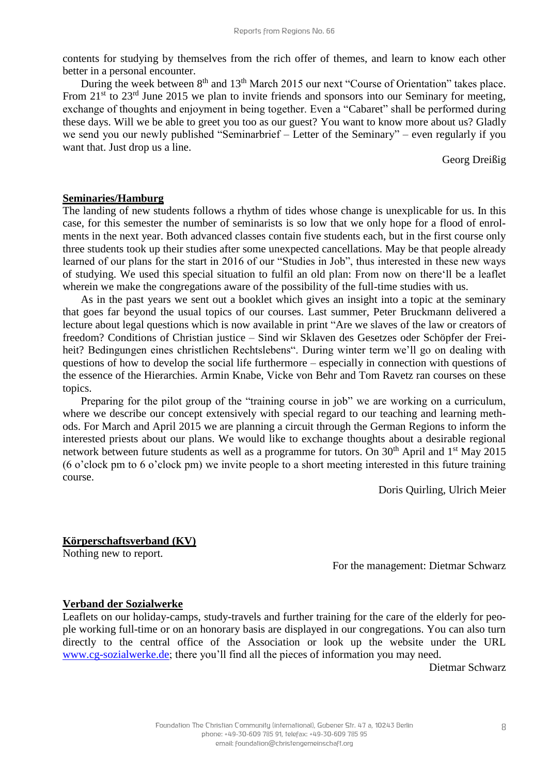contents for studying by themselves from the rich offer of themes, and learn to know each other better in a personal encounter.

During the week between  $8<sup>th</sup>$  and  $13<sup>th</sup>$  March 2015 our next "Course of Orientation" takes place. From  $21<sup>st</sup>$  to  $23<sup>rd</sup>$  June 2015 we plan to invite friends and sponsors into our Seminary for meeting, exchange of thoughts and enjoyment in being together. Even a "Cabaret" shall be performed during these days. Will we be able to greet you too as our guest? You want to know more about us? Gladly we send you our newly published "Seminarbrief – Letter of the Seminary" – even regularly if you want that. Just drop us a line.

Georg Dreißig

#### **Seminaries/Hamburg**

The landing of new students follows a rhythm of tides whose change is unexplicable for us. In this case, for this semester the number of seminarists is so low that we only hope for a flood of enrolments in the next year. Both advanced classes contain five students each, but in the first course only three students took up their studies after some unexpected cancellations. May be that people already learned of our plans for the start in 2016 of our "Studies in Job", thus interested in these new ways of studying. We used this special situation to fulfil an old plan: From now on there'll be a leaflet wherein we make the congregations aware of the possibility of the full-time studies with us.

As in the past years we sent out a booklet which gives an insight into a topic at the seminary that goes far beyond the usual topics of our courses. Last summer, Peter Bruckmann delivered a lecture about legal questions which is now available in print "Are we slaves of the law or creators of freedom? Conditions of Christian justice – Sind wir Sklaven des Gesetzes oder Schöpfer der Freiheit? Bedingungen eines christlichen Rechtslebens". During winter term we'll go on dealing with questions of how to develop the social life furthermore – especially in connection with questions of the essence of the Hierarchies. Armin Knabe, Vicke von Behr and Tom Ravetz ran courses on these topics.

Preparing for the pilot group of the "training course in job" we are working on a curriculum, where we describe our concept extensively with special regard to our teaching and learning methods. For March and April 2015 we are planning a circuit through the German Regions to inform the interested priests about our plans. We would like to exchange thoughts about a desirable regional network between future students as well as a programme for tutors. On  $30<sup>th</sup>$  April and  $1<sup>st</sup>$  May 2015 (6 o'clock pm to 6 o'clock pm) we invite people to a short meeting interested in this future training course.

Doris Quirling, Ulrich Meier

### **Körperschaftsverband (KV)**

Nothing new to report.

For the management: Dietmar Schwarz

### **Verband der Sozialwerke**

Leaflets on our holiday-camps, study-travels and further training for the care of the elderly for people working full-time or on an honorary basis are displayed in our congregations. You can also turn directly to the central office of the Association or look up the website under the URL [www.cg-sozialwerke.de;](http://www.cg-sozialwerke.de/) there you'll find all the pieces of information you may need.

Dietmar Schwarz